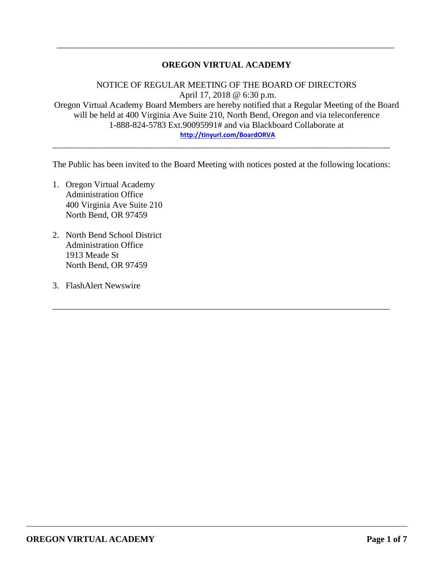#### **OREGON VIRTUAL ACADEMY**

\_\_\_\_\_\_\_\_\_\_\_\_\_\_\_\_\_\_\_\_\_\_\_\_\_\_\_\_\_\_\_\_\_\_\_\_\_\_\_\_\_\_\_\_\_\_\_\_\_\_\_\_\_\_\_\_\_\_\_\_\_\_\_\_\_\_\_\_\_\_\_\_\_\_\_\_\_

NOTICE OF REGULAR MEETING OF THE BOARD OF DIRECTORS April 17, 2018 @ 6:30 p.m. Oregon Virtual Academy Board Members are hereby notified that a Regular Meeting of the Board will be held at 400 Virginia Ave Suite 210, North Bend, Oregon and via teleconference 1-888-824-5783 Ext.90095991# and via Blackboard Collaborate at **<http://tinyurl.com/BoardORVA>**

The Public has been invited to the Board Meeting with notices posted at the following locations:

\_\_\_\_\_\_\_\_\_\_\_\_\_\_\_\_\_\_\_\_\_\_\_\_\_\_\_\_\_\_\_\_\_\_\_\_\_\_\_\_\_\_\_\_\_\_\_\_\_\_\_\_\_\_\_\_\_\_\_\_\_\_\_\_\_\_\_\_\_\_\_\_\_\_\_\_\_

\_\_\_\_\_\_\_\_\_\_\_\_\_\_\_\_\_\_\_\_\_\_\_\_\_\_\_\_\_\_\_\_\_\_\_\_\_\_\_\_\_\_\_\_\_\_\_\_\_\_\_\_\_\_\_\_\_\_\_\_\_\_\_\_\_\_\_\_\_\_\_\_\_\_\_\_\_

- 1. Oregon Virtual Academy Administration Office 400 Virginia Ave Suite 210 North Bend, OR 97459
- 2. North Bend School District Administration Office 1913 Meade St North Bend, OR 97459
- 3. FlashAlert Newswire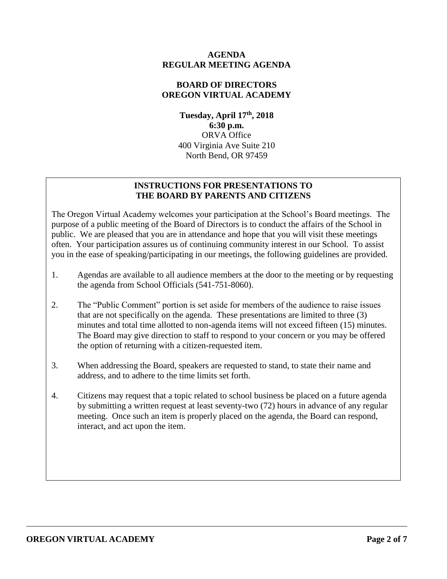#### **AGENDA REGULAR MEETING AGENDA**

## **BOARD OF DIRECTORS OREGON VIRTUAL ACADEMY**

**Tuesday, April 17th , 2018 6:30 p.m.** ORVA Office 400 Virginia Ave Suite 210 North Bend, OR 97459

## **INSTRUCTIONS FOR PRESENTATIONS TO THE BOARD BY PARENTS AND CITIZENS**

The Oregon Virtual Academy welcomes your participation at the School's Board meetings. The purpose of a public meeting of the Board of Directors is to conduct the affairs of the School in public. We are pleased that you are in attendance and hope that you will visit these meetings often. Your participation assures us of continuing community interest in our School. To assist you in the ease of speaking/participating in our meetings, the following guidelines are provided.

- 1. Agendas are available to all audience members at the door to the meeting or by requesting the agenda from School Officials (541-751-8060).
- 2. The "Public Comment" portion is set aside for members of the audience to raise issues that are not specifically on the agenda. These presentations are limited to three (3) minutes and total time allotted to non-agenda items will not exceed fifteen (15) minutes. The Board may give direction to staff to respond to your concern or you may be offered the option of returning with a citizen-requested item.
- 3. When addressing the Board, speakers are requested to stand, to state their name and address, and to adhere to the time limits set forth.
- 4. Citizens may request that a topic related to school business be placed on a future agenda by submitting a written request at least seventy-two (72) hours in advance of any regular meeting. Once such an item is properly placed on the agenda, the Board can respond, interact, and act upon the item.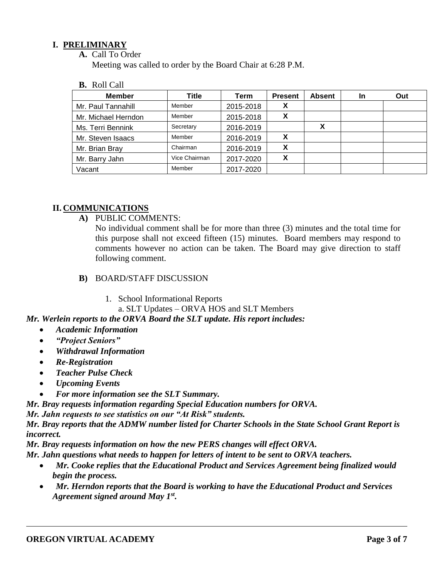## **I. PRELIMINARY**

**A.** Call To Order

Meeting was called to order by the Board Chair at 6:28 P.M.

**B.** Roll Call

| <b>Member</b>       | Title         | Term      | <b>Present</b> | <b>Absent</b> | In | Out |
|---------------------|---------------|-----------|----------------|---------------|----|-----|
| Mr. Paul Tannahill  | Member        | 2015-2018 | X              |               |    |     |
| Mr. Michael Herndon | Member        | 2015-2018 | v<br>Λ         |               |    |     |
| Ms. Terri Bennink   | Secretary     | 2016-2019 |                |               |    |     |
| Mr. Steven Isaacs   | Member        | 2016-2019 | х              |               |    |     |
| Mr. Brian Bray      | Chairman      | 2016-2019 | х              |               |    |     |
| Mr. Barry Jahn      | Vice Chairman | 2017-2020 | X              |               |    |     |
| Vacant              | Member        | 2017-2020 |                |               |    |     |

#### **II. COMMUNICATIONS**

**A)** PUBLIC COMMENTS:

No individual comment shall be for more than three (3) minutes and the total time for this purpose shall not exceed fifteen (15) minutes. Board members may respond to comments however no action can be taken. The Board may give direction to staff following comment.

- **B)** BOARD/STAFF DISCUSSION
	- 1. School Informational Reports

a. SLT Updates – ORVA HOS and SLT Members

*Mr. Werlein reports to the ORVA Board the SLT update. His report includes:*

- *Academic Information*
- *"Project Seniors"*
- *Withdrawal Information*
- *Re-Registration*
- *Teacher Pulse Check*
- *Upcoming Events*
- *For more information see the SLT Summary.*

*Mr. Bray requests information regarding Special Education numbers for ORVA.* 

*Mr. Jahn requests to see statistics on our "At Risk" students.* 

*Mr. Bray reports that the ADMW number listed for Charter Schools in the State School Grant Report is incorrect.* 

*Mr. Bray requests information on how the new PERS changes will effect ORVA.* 

*Mr. Jahn questions what needs to happen for letters of intent to be sent to ORVA teachers.*

- *Mr. Cooke replies that the Educational Product and Services Agreement being finalized would begin the process.*
- *Mr. Herndon reports that the Board is working to have the Educational Product and Services Agreement signed around May 1st .*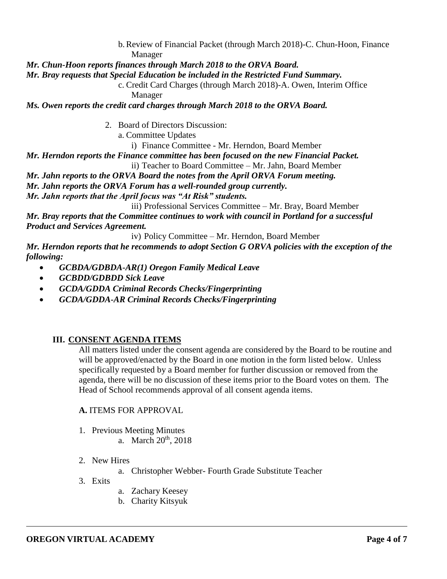b.Review of Financial Packet (through March 2018)-C. Chun-Hoon, Finance Manager

*Mr. Chun-Hoon reports finances through March 2018 to the ORVA Board.* 

*Mr. Bray requests that Special Education be included in the Restricted Fund Summary.*

c. Credit Card Charges (through March 2018)-A. Owen, Interim Office Manager

*Ms. Owen reports the credit card charges through March 2018 to the ORVA Board.* 

- 2. Board of Directors Discussion:
	- a. Committee Updates

i) Finance Committee - Mr. Herndon, Board Member

*Mr. Herndon reports the Finance committee has been focused on the new Financial Packet.* ii) Teacher to Board Committee – Mr. Jahn, Board Member

- *Mr. Jahn reports to the ORVA Board the notes from the April ORVA Forum meeting.*
- *Mr. Jahn reports the ORVA Forum has a well-rounded group currently.*

*Mr. Jahn reports that the April focus was "At Risk" students.* 

iii) Professional Services Committee – Mr. Bray, Board Member

*Mr. Bray reports that the Committee continues to work with council in Portland for a successful Product and Services Agreement.* 

iv) Policy Committee – Mr. Herndon, Board Member

*Mr. Herndon reports that he recommends to adopt Section G ORVA policies with the exception of the following:*

- *GCBDA/GDBDA-AR(1) Oregon Family Medical Leave*
- *GCBDD/GDBDD Sick Leave*
- *GCDA/GDDA Criminal Records Checks/Fingerprinting*
- *GCDA/GDDA-AR Criminal Records Checks/Fingerprinting*

## **III. CONSENT AGENDA ITEMS**

All matters listed under the consent agenda are considered by the Board to be routine and will be approved/enacted by the Board in one motion in the form listed below. Unless specifically requested by a Board member for further discussion or removed from the agenda, there will be no discussion of these items prior to the Board votes on them. The Head of School recommends approval of all consent agenda items.

#### **A.** ITEMS FOR APPROVAL

- 1. Previous Meeting Minutes
	- a. March 20<sup>th</sup>, 2018
- 2. New Hires
	- a. Christopher Webber- Fourth Grade Substitute Teacher
- 3. Exits
- a. Zachary Keesey
- b. Charity Kitsyuk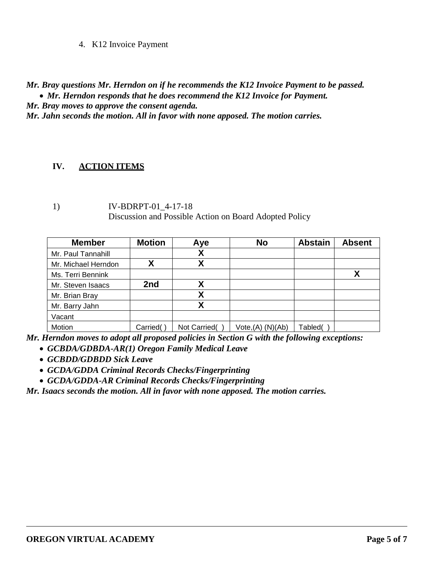4. K12 Invoice Payment

*Mr. Bray questions Mr. Herndon on if he recommends the K12 Invoice Payment to be passed. Mr. Herndon responds that he does recommend the K12 Invoice for Payment.* 

*Mr. Bray moves to approve the consent agenda.*

*Mr. Jahn seconds the motion. All in favor with none apposed. The motion carries.* 

## **IV. ACTION ITEMS**

1) IV-BDRPT-01\_4-17-18 Discussion and Possible Action on Board Adopted Policy

| <b>Member</b>       | <b>Motion</b> | Aye          | <b>No</b>            | <b>Abstain</b> | <b>Absent</b> |
|---------------------|---------------|--------------|----------------------|----------------|---------------|
| Mr. Paul Tannahill  |               | χ            |                      |                |               |
| Mr. Michael Herndon |               | χ            |                      |                |               |
| Ms. Terri Bennink   |               |              |                      |                | χ             |
| Mr. Steven Isaacs   | 2nd           | Χ            |                      |                |               |
| Mr. Brian Bray      |               | Χ            |                      |                |               |
| Mr. Barry Jahn      |               | Х            |                      |                |               |
| Vacant              |               |              |                      |                |               |
| Motion              | Carried(      | Not Carried( | $Vote,(A)$ $(N)(Ab)$ | Tabled(        |               |

*Mr. Herndon moves to adopt all proposed policies in Section G with the following exceptions:*

- *GCBDA/GDBDA-AR(1) Oregon Family Medical Leave*
- *GCBDD/GDBDD Sick Leave*
- *GCDA/GDDA Criminal Records Checks/Fingerprinting*
- *GCDA/GDDA-AR Criminal Records Checks/Fingerprinting*

*Mr. Isaacs seconds the motion. All in favor with none apposed. The motion carries.*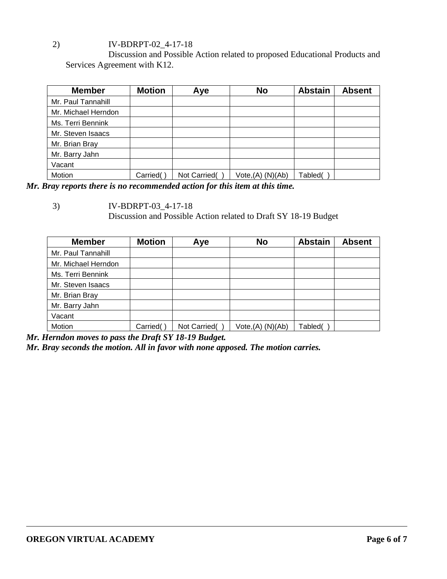# 2) IV-BDRPT-02\_4-17-18

Discussion and Possible Action related to proposed Educational Products and Services Agreement with K12.

| <b>Member</b>       | <b>Motion</b> | Aye          | <b>No</b>            | <b>Abstain</b> | <b>Absent</b> |
|---------------------|---------------|--------------|----------------------|----------------|---------------|
| Mr. Paul Tannahill  |               |              |                      |                |               |
| Mr. Michael Herndon |               |              |                      |                |               |
| Ms. Terri Bennink   |               |              |                      |                |               |
| Mr. Steven Isaacs   |               |              |                      |                |               |
| Mr. Brian Bray      |               |              |                      |                |               |
| Mr. Barry Jahn      |               |              |                      |                |               |
| Vacant              |               |              |                      |                |               |
| Motion              | Carried(      | Not Carried( | $Vote,(A)$ $(N)(Ab)$ | Tabled(        |               |

*Mr. Bray reports there is no recommended action for this item at this time.* 

Discussion and Possible Action related to Draft SY 18-19 Budget

| <b>Member</b>       | <b>Motion</b> | Aye          | <b>No</b>         | <b>Abstain</b> | <b>Absent</b> |
|---------------------|---------------|--------------|-------------------|----------------|---------------|
| Mr. Paul Tannahill  |               |              |                   |                |               |
| Mr. Michael Herndon |               |              |                   |                |               |
| Ms. Terri Bennink   |               |              |                   |                |               |
| Mr. Steven Isaacs   |               |              |                   |                |               |
| Mr. Brian Bray      |               |              |                   |                |               |
| Mr. Barry Jahn      |               |              |                   |                |               |
| Vacant              |               |              |                   |                |               |
| Motion              | Carried(      | Not Carried( | Vote, (A) (N)(Ab) | Tabled(        |               |

*Mr. Herndon moves to pass the Draft SY 18-19 Budget.*

*Mr. Bray seconds the motion. All in favor with none apposed. The motion carries.* 

<sup>3)</sup> IV-BDRPT-03\_4-17-18